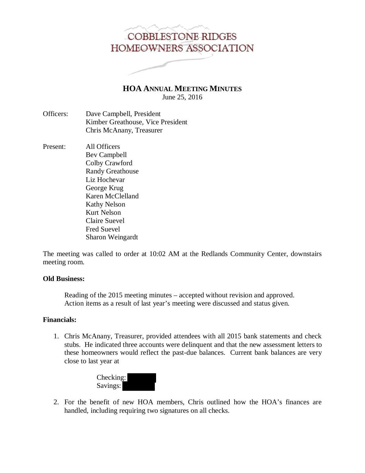# **COBBLESTONE RIDGES** HOMEOWNERS ASSOCIATION

**HOA ANNUAL MEETING MINUTES** June 25, 2016

- Officers: Dave Campbell, President Kimber Greathouse, Vice President Chris McAnany, Treasurer
- Present: All Officers Bev Campbell Colby Crawford Randy Greathouse Liz Hochevar George Krug Karen McClelland Kathy Nelson Kurt Nelson Claire Suevel Fred Suevel Sharon Weingardt

The meeting was called to order at 10:02 AM at the Redlands Community Center, downstairs meeting room.

## **Old Business:**

 Reading of the 2015 meeting minutes – accepted without revision and approved. Action items as a result of last year's meeting were discussed and status given.

## **Financials:**

1. Chris McAnany, Treasurer, provided attendees with all 2015 bank statements and check stubs. He indicated three accounts were delinquent and that the new assessment letters to these homeowners would reflect the past-due balances. Current bank balances are very close to last year at



2. For the benefit of new HOA members, Chris outlined how the HOA's finances are handled, including requiring two signatures on all checks.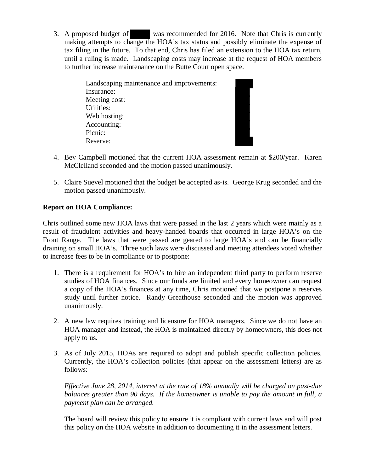3. A proposed budget of was recommended for 2016. Note that Chris is currently making attempts to change the HOA's tax status and possibly eliminate the expense of tax filing in the future. To that end, Chris has filed an extension to the HOA tax return, until a ruling is made. Landscaping costs may increase at the request of HOA members to further increase maintenance on the Butte Court open space.

| Landscaping maintenance and improvements: |
|-------------------------------------------|
| Insurance:                                |
| Meeting cost:                             |
| Utilities:                                |
| Web hosting:                              |
| Accounting:                               |
| Picnic:                                   |
| Reserve:                                  |

- 4. Bev Campbell motioned that the current HOA assessment remain at \$200/year. Karen McClelland seconded and the motion passed unanimously.
- 5. Claire Suevel motioned that the budget be accepted as-is. George Krug seconded and the motion passed unanimously.

# **Report on HOA Compliance:**

Chris outlined some new HOA laws that were passed in the last 2 years which were mainly as a result of fraudulent activities and heavy-handed boards that occurred in large HOA's on the Front Range. The laws that were passed are geared to large HOA's and can be financially draining on small HOA's. Three such laws were discussed and meeting attendees voted whether to increase fees to be in compliance or to postpone:

- 1. There is a requirement for HOA's to hire an independent third party to perform reserve studies of HOA finances. Since our funds are limited and every homeowner can request a copy of the HOA's finances at any time, Chris motioned that we postpone a reserves study until further notice. Randy Greathouse seconded and the motion was approved unanimously.
- 2. A new law requires training and licensure for HOA managers. Since we do not have an HOA manager and instead, the HOA is maintained directly by homeowners, this does not apply to us.
- 3. As of July 2015, HOAs are required to adopt and publish specific collection policies. Currently, the HOA's collection policies (that appear on the assessment letters) are as follows:

*Effective June 28, 2014, interest at the rate of 18% annually will be charged on past-due balances greater than 90 days. If the homeowner is unable to pay the amount in full, a payment plan can be arranged.* 

The board will review this policy to ensure it is compliant with current laws and will post this policy on the HOA website in addition to documenting it in the assessment letters.